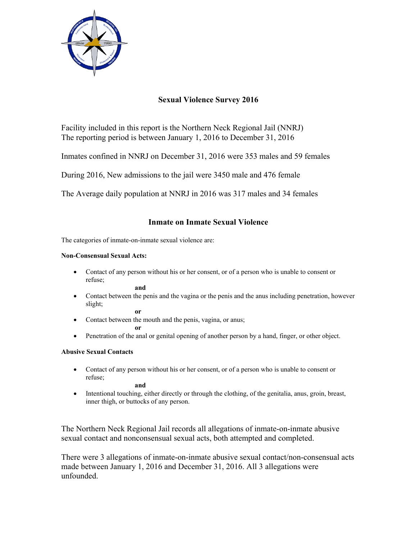

# **Sexual Violence Survey 2016**

Facility included in this report is the Northern Neck Regional Jail (NNRJ) The reporting period is between January 1, 2016 to December 31, 2016

Inmates confined in NNRJ on December 31, 2016 were 353 males and 59 females

During 2016, New admissions to the jail were 3450 male and 476 female

The Average daily population at NNRJ in 2016 was 317 males and 34 females

## **Inmate on Inmate Sexual Violence**

The categories of inmate-on-inmate sexual violence are:

#### **Non-Consensual Sexual Acts:**

 Contact of any person without his or her consent, or of a person who is unable to consent or refuse;

**and**

 Contact between the penis and the vagina or the penis and the anus including penetration, however slight;

**or** 

• Contact between the mouth and the penis, vagina, or anus;

**or** 

• Penetration of the anal or genital opening of another person by a hand, finger, or other object.

### **Abusive Sexual Contacts**

 Contact of any person without his or her consent, or of a person who is unable to consent or refuse;

**and** 

 Intentional touching, either directly or through the clothing, of the genitalia, anus, groin, breast, inner thigh, or buttocks of any person.

The Northern Neck Regional Jail records all allegations of inmate-on-inmate abusive sexual contact and nonconsensual sexual acts, both attempted and completed.

There were 3 allegations of inmate-on-inmate abusive sexual contact/non-consensual acts made between January 1, 2016 and December 31, 2016. All 3 allegations were unfounded.